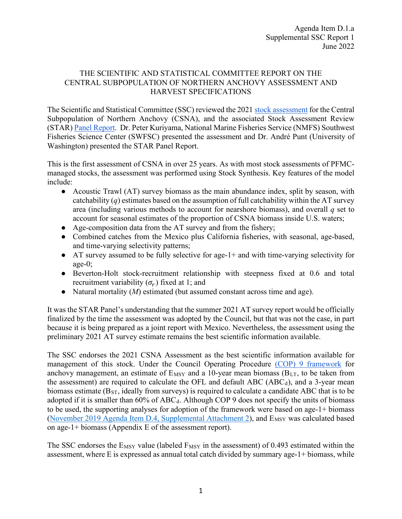## THE SCIENTIFIC AND STATISTICAL COMMITTEE REPORT ON THE CENTRAL SUBPOPULATION OF NORTHERN ANCHOVY ASSESSMENT AND HARVEST SPECIFICATIONS

The Scientific and Statistical Committee (SSC) reviewed the 2021 stock assessment for the Central Subpopulation of Northern Anchovy (CSNA), and the associated Stock Assessment Review (STAR) Panel Report. Dr. Peter Kuriyama, National Marine Fisheries Service (NMFS) Southwest Fisheries Science Center (SWFSC) presented the assessment and Dr. André Punt (University of Washington) presented the STAR Panel Report.

This is the first assessment of CSNA in over 25 years. As with most stock assessments of PFMCmanaged stocks, the assessment was performed using Stock Synthesis. Key features of the model include:

- Acoustic Trawl (AT) survey biomass as the main abundance index, split by season, with catchability  $(q)$  estimates based on the assumption of full catchability within the AT survey area (including various methods to account for nearshore biomass), and overall *q* set to account for seasonal estimates of the proportion of CSNA biomass inside U.S. waters;
- Age-composition data from the AT survey and from the fishery;
- Combined catches from the Mexico plus California fisheries, with seasonal, age-based, and time-varying selectivity patterns;
- AT survey assumed to be fully selective for age-1+ and with time-varying selectivity for age-0;
- Beverton-Holt stock-recruitment relationship with steepness fixed at 0.6 and total recruitment variability  $(\sigma_r)$  fixed at 1; and
- Natural mortality (*M*) estimated (but assumed constant across time and age).

It was the STAR Panel's understanding that the summer 2021 AT survey report would be officially finalized by the time the assessment was adopted by the Council, but that was not the case, in part because it is being prepared as a joint report with Mexico. Nevertheless, the assessment using the preliminary 2021 AT survey estimate remains the best scientific information available.

The SSC endorses the 2021 CSNA Assessment as the best scientific information available for management of this stock. Under the Council Operating Procedure (COP) 9 framework for anchovy management, an estimate of  $E_{MSY}$  and a 10-year mean biomass ( $B_{LT}$ , to be taken from the assessment) are required to calculate the OFL and default ABC ( $ABC_d$ ), and a 3-year mean biomass estimate (BST, ideally from surveys) is required to calculate a candidate ABC that is to be adopted if it is smaller than  $60\%$  of  $ABC_d$ . Although COP 9 does not specify the units of biomass to be used, the supporting analyses for adoption of the framework were based on age-1+ biomass (November 2019 Agenda Item D.4, Supplemental Attachment 2), and E<sub>MSY</sub> was calculated based on age-1+ biomass (Appendix E of the assessment report).

The SSC endorses the  $E_{MSY}$  value (labeled  $F_{MSY}$  in the assessment) of 0.493 estimated within the assessment, where E is expressed as annual total catch divided by summary age-1+ biomass, while